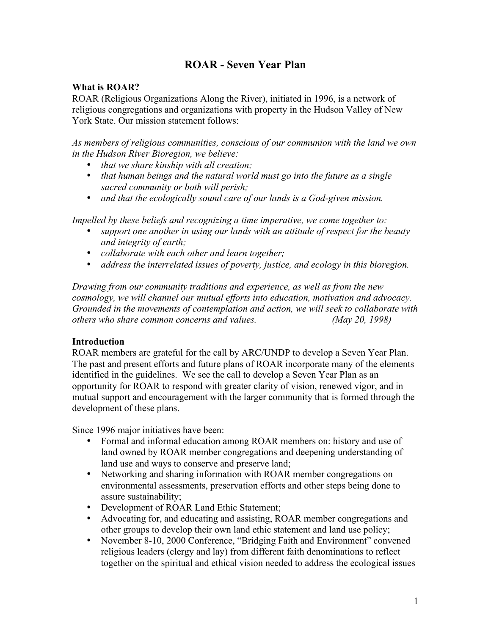# **ROAR - Seven Year Plan**

### **What is ROAR?**

ROAR (Religious Organizations Along the River), initiated in 1996, is a network of religious congregations and organizations with property in the Hudson Valley of New York State. Our mission statement follows:

*As members of religious communities, conscious of our communion with the land we own in the Hudson River Bioregion, we believe:*

- *that we share kinship with all creation;*
- *that human beings and the natural world must go into the future as a single sacred community or both will perish;*
- *and that the ecologically sound care of our lands is a God-given mission.*

*Impelled by these beliefs and recognizing a time imperative, we come together to:*

- *support one another in using our lands with an attitude of respect for the beauty and integrity of earth;*
- *collaborate with each other and learn together;*
- *address the interrelated issues of poverty, justice, and ecology in this bioregion.*

*Drawing from our community traditions and experience, as well as from the new cosmology, we will channel our mutual efforts into education, motivation and advocacy. Grounded in the movements of contemplation and action, we will seek to collaborate with others who share common concerns and values. (May 20, 1998)*

### **Introduction**

ROAR members are grateful for the call by ARC/UNDP to develop a Seven Year Plan. The past and present efforts and future plans of ROAR incorporate many of the elements identified in the guidelines. We see the call to develop a Seven Year Plan as an opportunity for ROAR to respond with greater clarity of vision, renewed vigor, and in mutual support and encouragement with the larger community that is formed through the development of these plans.

Since 1996 major initiatives have been:

- Formal and informal education among ROAR members on: history and use of land owned by ROAR member congregations and deepening understanding of land use and ways to conserve and preserve land;
- Networking and sharing information with ROAR member congregations on environmental assessments, preservation efforts and other steps being done to assure sustainability;
- Development of ROAR Land Ethic Statement;
- Advocating for, and educating and assisting, ROAR member congregations and other groups to develop their own land ethic statement and land use policy;
- November 8-10, 2000 Conference, "Bridging Faith and Environment" convened religious leaders (clergy and lay) from different faith denominations to reflect together on the spiritual and ethical vision needed to address the ecological issues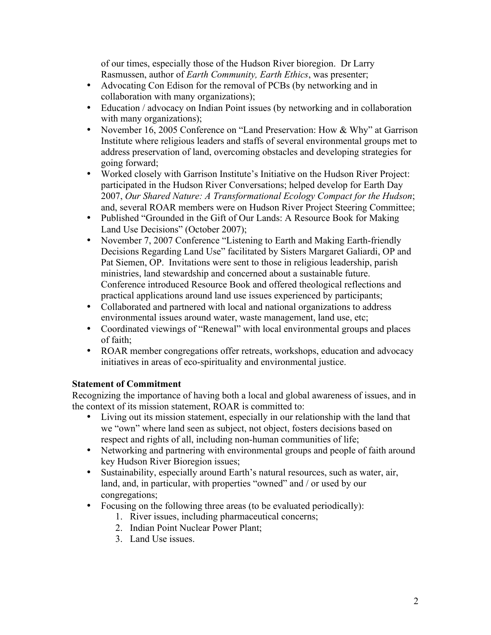of our times, especially those of the Hudson River bioregion. Dr Larry Rasmussen, author of *Earth Community, Earth Ethics*, was presenter;

- Advocating Con Edison for the removal of PCBs (by networking and in collaboration with many organizations);
- Education / advocacy on Indian Point issues (by networking and in collaboration with many organizations);
- November 16, 2005 Conference on "Land Preservation: How & Why" at Garrison Institute where religious leaders and staffs of several environmental groups met to address preservation of land, overcoming obstacles and developing strategies for going forward;
- Worked closely with Garrison Institute's Initiative on the Hudson River Project: participated in the Hudson River Conversations; helped develop for Earth Day 2007, *Our Shared Nature: A Transformational Ecology Compact for the Hudson*; and, several ROAR members were on Hudson River Project Steering Committee;
- Published "Grounded in the Gift of Our Lands: A Resource Book for Making Land Use Decisions" (October 2007);
- November 7, 2007 Conference "Listening to Earth and Making Earth-friendly Decisions Regarding Land Use" facilitated by Sisters Margaret Galiardi, OP and Pat Siemen, OP. Invitations were sent to those in religious leadership, parish ministries, land stewardship and concerned about a sustainable future. Conference introduced Resource Book and offered theological reflections and practical applications around land use issues experienced by participants;
- Collaborated and partnered with local and national organizations to address environmental issues around water, waste management, land use, etc;
- Coordinated viewings of "Renewal" with local environmental groups and places of faith;
- ROAR member congregations offer retreats, workshops, education and advocacy initiatives in areas of eco-spirituality and environmental justice.

## **Statement of Commitment**

Recognizing the importance of having both a local and global awareness of issues, and in the context of its mission statement, ROAR is committed to:

- Living out its mission statement, especially in our relationship with the land that we "own" where land seen as subject, not object, fosters decisions based on respect and rights of all, including non-human communities of life;
- Networking and partnering with environmental groups and people of faith around key Hudson River Bioregion issues;
- Sustainability, especially around Earth's natural resources, such as water, air, land, and, in particular, with properties "owned" and / or used by our congregations;
- Focusing on the following three areas (to be evaluated periodically):
	- 1. River issues, including pharmaceutical concerns;
	- 2. Indian Point Nuclear Power Plant;
	- 3. Land Use issues.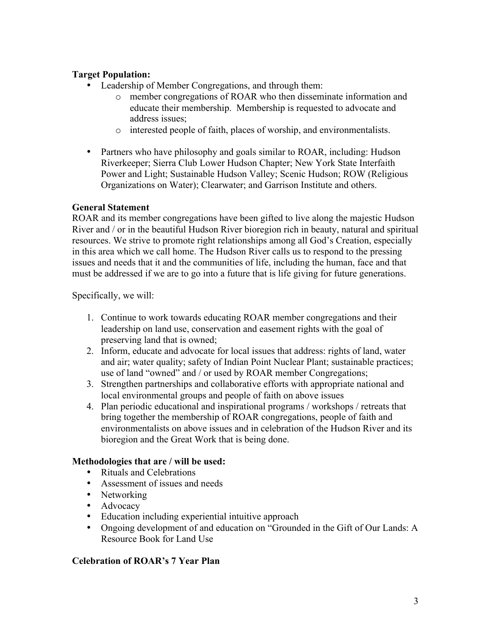## **Target Population:**

- Leadership of Member Congregations, and through them:
	- o member congregations of ROAR who then disseminate information and educate their membership. Membership is requested to advocate and address issues;
	- o interested people of faith, places of worship, and environmentalists.
- Partners who have philosophy and goals similar to ROAR, including: Hudson Riverkeeper; Sierra Club Lower Hudson Chapter; New York State Interfaith Power and Light; Sustainable Hudson Valley; Scenic Hudson; ROW (Religious Organizations on Water); Clearwater; and Garrison Institute and others.

### **General Statement**

ROAR and its member congregations have been gifted to live along the majestic Hudson River and / or in the beautiful Hudson River bioregion rich in beauty, natural and spiritual resources. We strive to promote right relationships among all God's Creation, especially in this area which we call home. The Hudson River calls us to respond to the pressing issues and needs that it and the communities of life, including the human, face and that must be addressed if we are to go into a future that is life giving for future generations.

Specifically, we will:

- 1. Continue to work towards educating ROAR member congregations and their leadership on land use, conservation and easement rights with the goal of preserving land that is owned;
- 2. Inform, educate and advocate for local issues that address: rights of land, water and air; water quality; safety of Indian Point Nuclear Plant; sustainable practices; use of land "owned" and / or used by ROAR member Congregations;
- 3. Strengthen partnerships and collaborative efforts with appropriate national and local environmental groups and people of faith on above issues
- 4. Plan periodic educational and inspirational programs / workshops / retreats that bring together the membership of ROAR congregations, people of faith and environmentalists on above issues and in celebration of the Hudson River and its bioregion and the Great Work that is being done.

#### **Methodologies that are / will be used:**

- Rituals and Celebrations
- Assessment of issues and needs
- Networking
- Advocacy
- Education including experiential intuitive approach
- Ongoing development of and education on "Grounded in the Gift of Our Lands: A Resource Book for Land Use

### **Celebration of ROAR's 7 Year Plan**